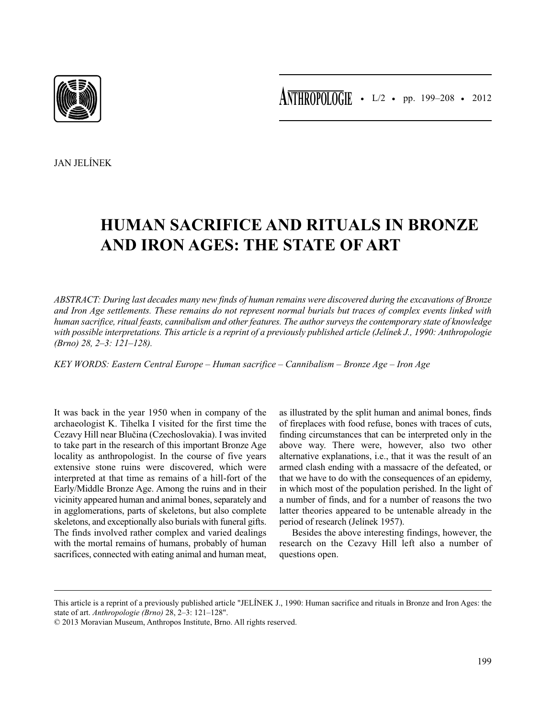

JAN JELÍNEK

## **HUMAN SACRIFICE AND RITUALS IN BRONZE AND IRON AGES: THE STATE OF ART**

*ABSTRACT: During last decades many new finds of human remains were discovered during the excavations of Bronze and Iron Age settlements. These remains do not represent normal burials but traces of complex events linked with human sacrifice, ritual feasts, cannibalism and other features. The author surveys the contemporary state of knowledge with possible interpretations. This article is a reprint of a previously published article (Jelínek J., 1990: Anthropologie (Brno) 28, 2–3: 121–128).*

*KEY WORDS: Eastern Central Europe – Human sacrifice – Cannibalism – Bronze Age – Iron Age*

It was back in the year 1950 when in company of the archaeologist K. Tihelka I visited for the first time the Cezavy Hill near Blučina (Czechoslovakia). I was invited to take part in the research of this important Bronze Age locality as anthropologist. In the course of five years extensive stone ruins were discovered, which were interpreted at that time as remains of a hill-fort of the Early/Middle Bronze Age. Among the ruins and in their vicinity appeared human and animal bones, separately and in agglomerations, parts of skeletons, but also complete skeletons, and exceptionally also burials with funeral gifts. The finds involved rather complex and varied dealings with the mortal remains of humans, probably of human sacrifices, connected with eating animal and human meat, as illustrated by the split human and animal bones, finds of fireplaces with food refuse, bones with traces of cuts, finding circumstances that can be interpreted only in the above way. There were, however, also two other alternative explanations, i.e., that it was the result of an armed clash ending with a massacre of the defeated, or that we have to do with the consequences of an epidemy, in which most of the population perished. In the light of a number of finds, and for a number of reasons the two latter theories appeared to be untenable already in the period of research (Jelínek 1957).

Besides the above interesting findings, however, the research on the Cezavy Hill left also a number of questions open.

This article is a reprint of a previously published article "JELÍNEK J., 1990: Human sacrifice and rituals in Bronze and Iron Ages: the state of art. *Anthropologie (Brno)* 28, 2–3: 121–128".

<sup>© 2013</sup> Moravian Museum, Anthropos Institute, Brno. All rights reserved.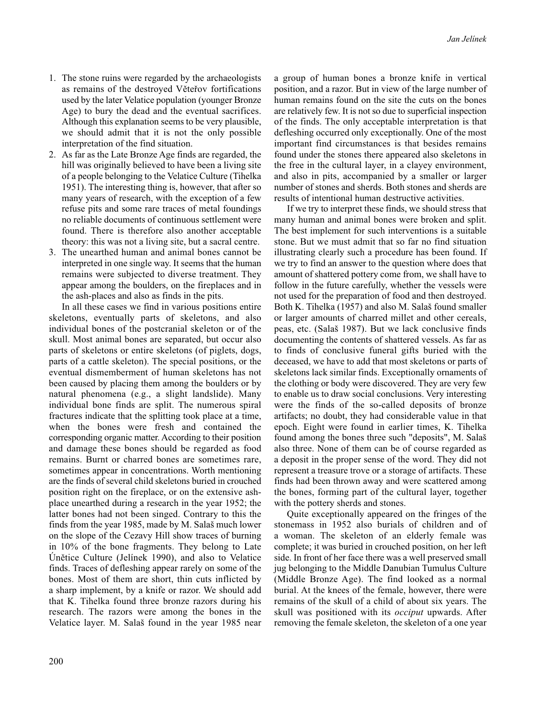- 1. The stone ruins were regarded by the archaeologists as remains of the destroyed Věteřov fortifications used by the later Velatice population (younger Bronze Age) to bury the dead and the eventual sacrifices. Although this explanation seems to be very plausible, we should admit that it is not the only possible interpretation of the find situation.
- 2. As far as the Late Bronze Age finds are regarded, the hill was originally believed to have been a living site of a people belonging to the Velatice Culture (Tihelka 1951). The interesting thing is, however, that after so many years of research, with the exception of a few refuse pits and some rare traces of metal foundings no reliable documents of continuous settlement were found. There is therefore also another acceptable theory: this was not a living site, but a sacral centre.
- 3. The unearthed human and animal bones cannot be interpreted in one single way. It seems that the human remains were subjected to diverse treatment. They appear among the boulders, on the fireplaces and in the ash-places and also as finds in the pits.

In all these cases we find in various positions entire skeletons, eventually parts of skeletons, and also individual bones of the postcranial skeleton or of the skull. Most animal bones are separated, but occur also parts of skeletons or entire skeletons (of piglets, dogs, parts of a cattle skeleton). The special positions, or the eventual dismemberment of human skeletons has not been caused by placing them among the boulders or by natural phenomena (e.g., a slight landslide). Many individual bone finds are split. The numerous spiral fractures indicate that the splitting took place at a time, when the bones were fresh and contained the corresponding organic matter. According to their position and damage these bones should be regarded as food remains. Burnt or charred bones are sometimes rare, sometimes appear in concentrations. Worth mentioning are the finds of several child skeletons buried in crouched position right on the fireplace, or on the extensive ashplace unearthed during a research in the year 1952; the latter bones had not been singed. Contrary to this the finds from the year 1985, made by M. Salaš much lower on the slope of the Cezavy Hill show traces of burning in 10% of the bone fragments. They belong to Late Únětice Culture (Jelínek 1990), and also to Velatice finds. Traces of defleshing appear rarely on some of the bones. Most of them are short, thin cuts inflicted by a sharp implement, by a knife or razor. We should add that K. Tihelka found three bronze razors during his research. The razors were among the bones in the Velatice layer. M. Salaš found in the year 1985 near

a group of human bones a bronze knife in vertical position, and a razor. But in view of the large number of human remains found on the site the cuts on the bones are relatively few. It is not so due to superficial inspection of the finds. The only acceptable interpretation is that defleshing occurred only exceptionally. One of the most important find circumstances is that besides remains found under the stones there appeared also skeletons in the free in the cultural layer, in a clayey environment, and also in pits, accompanied by a smaller or larger number of stones and sherds. Both stones and sherds are results of intentional human destructive activities.

If we try to interpret these finds, we should stress that many human and animal bones were broken and split. The best implement for such interventions is a suitable stone. But we must admit that so far no find situation illustrating clearly such a procedure has been found. If we try to find an answer to the question where does that amount of shattered pottery come from, we shall have to follow in the future carefully, whether the vessels were not used for the preparation of food and then destroyed. Both K. Tihelka (1957) and also M. Salaš found smaller or larger amounts of charred millet and other cereals, peas, etc. (Salaš 1987). But we lack conclusive finds documenting the contents of shattered vessels. As far as to finds of conclusive funeral gifts buried with the deceased, we have to add that most skeletons or parts of skeletons lack similar finds. Exceptionally ornaments of the clothing or body were discovered. They are very few to enable us to draw social conclusions. Very interesting were the finds of the so-called deposits of bronze artifacts; no doubt, they had considerable value in that epoch. Eight were found in earlier times, K. Tihelka found among the bones three such "deposits", M. Salaš also three. None of them can be of course regarded as a deposit in the proper sense of the word. They did not represent a treasure trove or a storage of artifacts. These finds had been thrown away and were scattered among the bones, forming part of the cultural layer, together with the pottery sherds and stones.

Quite exceptionally appeared on the fringes of the stonemass in 1952 also burials of children and of a woman. The skeleton of an elderly female was complete; it was buried in crouched position, on her left side. In front of her face there was a well preserved small jug belonging to the Middle Danubian Tumulus Culture (Middle Bronze Age). The find looked as a normal burial. At the knees of the female, however, there were remains of the skull of a child of about six years. The skull was positioned with its *occiput* upwards. After removing the female skeleton, the skeleton of a one year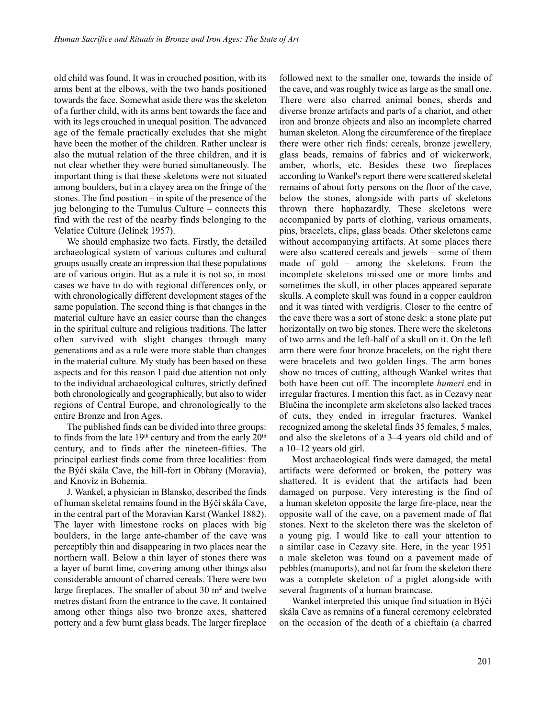old child was found. It was in crouched position, with its arms bent at the elbows, with the two hands positioned towards the face. Somewhat aside there was the skeleton of a further child, with its arms bent towards the face and with its legs crouched in unequal position. The advanced age of the female practically excludes that she might have been the mother of the children. Rather unclear is also the mutual relation of the three children, and it is not clear whether they were buried simultaneously. The important thing is that these skeletons were not situated among boulders, but in a clayey area on the fringe of the stones. The find position – in spite of the presence of the jug belonging to the Tumulus Culture – connects this find with the rest of the nearby finds belonging to the Velatice Culture (Jelínek 1957).

We should emphasize two facts. Firstly, the detailed archaeological system of various cultures and cultural groups usually create an impression that these populations are of various origin. But as a rule it is not so, in most cases we have to do with regional differences only, or with chronologically different development stages of the same population. The second thing is that changes in the material culture have an easier course than the changes in the spiritual culture and religious traditions. The latter often survived with slight changes through many generations and as a rule were more stable than changes in the material culture. My study has been based on these aspects and for this reason I paid due attention not only to the individual archaeological cultures, strictly defined both chronologically and geographically, but also to wider regions of Central Europe, and chronologically to the entire Bronze and Iron Ages.

The published finds can be divided into three groups: to finds from the late  $19<sup>th</sup>$  century and from the early  $20<sup>th</sup>$ century, and to finds after the nineteen-fifties. The principal earliest finds come from three localities: from the Býčí skála Cave, the hill-fort in Obřany (Moravia), and Knovíz in Bohemia.

J. Wankel, a physician in Blansko, described the finds of human skeletal remains found in the Býčí skála Cave, in the central part of the Moravian Karst (Wankel 1882). The layer with limestone rocks on places with big boulders, in the large ante-chamber of the cave was perceptibly thin and disappearing in two places near the northern wall. Below a thin layer of stones there was a layer of burnt lime, covering among other things also considerable amount of charred cereals. There were two large fireplaces. The smaller of about  $30 \text{ m}^2$  and twelve metres distant from the entrance to the cave. It contained among other things also two bronze axes, shattered pottery and a few burnt glass beads. The larger fireplace followed next to the smaller one, towards the inside of the cave, and was roughly twice as large as the small one. There were also charred animal bones, sherds and diverse bronze artifacts and parts of a chariot, and other iron and bronze objects and also an incomplete charred human skeleton. Along the circumference of the fireplace there were other rich finds: cereals, bronze jewellery, glass beads, remains of fabrics and of wickerwork, amber, whorls, etc. Besides these two fireplaces according to Wankel's report there were scattered skeletal remains of about forty persons on the floor of the cave, below the stones, alongside with parts of skeletons thrown there haphazardly. These skeletons were accompanied by parts of clothing, various ornaments, pins, bracelets, clips, glass beads. Other skeletons came without accompanying artifacts. At some places there were also scattered cereals and jewels – some of them made of gold – among the skeletons. From the incomplete skeletons missed one or more limbs and sometimes the skull, in other places appeared separate skulls. A complete skull was found in a copper cauldron and it was tinted with verdigris. Closer to the centre of the cave there was a sort of stone desk: a stone plate put horizontally on two big stones. There were the skeletons of two arms and the left-half of a skull on it. On the left arm there were four bronze bracelets, on the right there were bracelets and two golden lings. The arm bones show no traces of cutting, although Wankel writes that both have been cut off. The incomplete *humeri* end in irregular fractures. I mention this fact, as in Cezavy near Blučina the incomplete arm skeletons also lacked traces of cuts, they ended in irregular fractures. Wankel recognized among the skeletal finds 35 females, 5 males, and also the skeletons of a 3–4 years old child and of a 10–12 years old girl.

Most archaeological finds were damaged, the metal artifacts were deformed or broken, the pottery was shattered. It is evident that the artifacts had been damaged on purpose. Very interesting is the find of a human skeleton opposite the large fire-place, near the opposite wall of the cave, on a pavement made of flat stones. Next to the skeleton there was the skeleton of a young pig. I would like to call your attention to a similar case in Cezavy site. Here, in the year 1951 a male skeleton was found on a pavement made of pebbles (manuports), and not far from the skeleton there was a complete skeleton of a piglet alongside with several fragments of a human braincase.

Wankel interpreted this unique find situation in Býčí skála Cave as remains of a funeral ceremony celebrated on the occasion of the death of a chieftain (a charred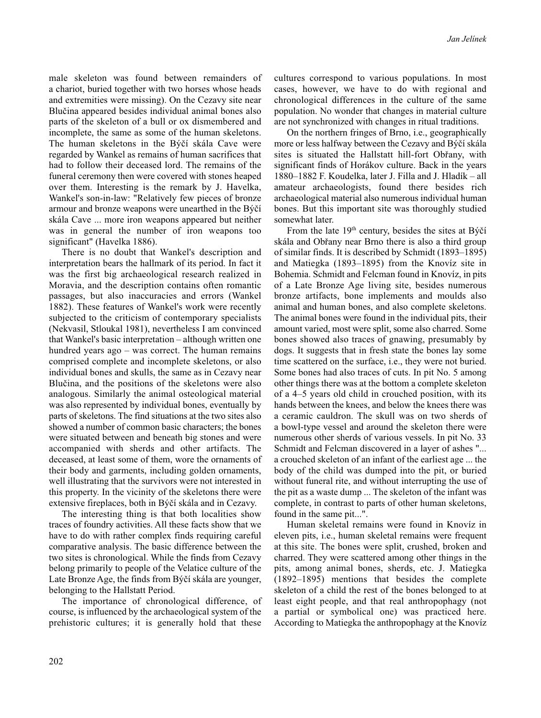male skeleton was found between remainders of a chariot, buried together with two horses whose heads and extremities were missing). On the Cezavy site near Blučina appeared besides individual animal bones also parts of the skeleton of a bull or ox dismembered and incomplete, the same as some of the human skeletons. The human skeletons in the Býčí skála Cave were regarded by Wankel as remains of human sacrifices that had to follow their deceased lord. The remains of the funeral ceremony then were covered with stones heaped over them. Interesting is the remark by J. Havelka, Wankel's son-in-law: "Relatively few pieces of bronze armour and bronze weapons were unearthed in the Býčí skála Cave ... more iron weapons appeared but neither was in general the number of iron weapons too significant" (Havelka 1886).

There is no doubt that Wankel's description and interpretation bears the hallmark of its period. In fact it was the first big archaeological research realized in Moravia, and the description contains often romantic passages, but also inaccuracies and errors (Wankel 1882). These features of Wankel's work were recently subjected to the criticism of contemporary specialists (Nekvasil, Stloukal 1981), nevertheless I am convinced that Wankel's basic interpretation – although written one hundred years ago – was correct. The human remains comprised complete and incomplete skeletons, or also individual bones and skulls, the same as in Cezavy near Blučina, and the positions of the skeletons were also analogous. Similarly the animal osteological material was also represented by individual bones, eventually by parts of skeletons. The find situations at the two sites also showed a number of common basic characters; the bones were situated between and beneath big stones and were accompanied with sherds and other artifacts. The deceased, at least some of them, wore the ornaments of their body and garments, including golden ornaments, well illustrating that the survivors were not interested in this property. In the vicinity of the skeletons there were extensive fireplaces, both in Býčí skála and in Cezavy.

The interesting thing is that both localities show traces of foundry activities. All these facts show that we have to do with rather complex finds requiring careful comparative analysis. The basic difference between the two sites is chronological. While the finds from Cezavy belong primarily to people of the Velatice culture of the Late Bronze Age, the finds from Býčí skála are younger, belonging to the Hallstatt Period.

The importance of chronological difference, of course, is influenced by the archaeological system of the prehistoric cultures; it is generally hold that these

cultures correspond to various populations. In most cases, however, we have to do with regional and chronological differences in the culture of the same population. No wonder that changes in material culture are not synchronized with changes in ritual traditions.

On the northern fringes of Brno, i.e., geographically more or less halfway between the Cezavy and Býčí skála sites is situated the Hallstatt hill-fort Obřany, with significant finds of Horákov culture. Back in the years 1880–1882 F. Koudelka, later J. Filla and J. Hladík – all amateur archaeologists, found there besides rich archaeological material also numerous individual human bones. But this important site was thoroughly studied somewhat later.

From the late 19th century, besides the sites at Býčí skála and Obřany near Brno there is also a third group of similar finds. It is described by Schmidt (1893–1895) and Matiegka (1893–1895) from the Knovíz site in Bohemia. Schmidt and Felcman found in Knovíz, in pits of a Late Bronze Age living site, besides numerous bronze artifacts, bone implements and moulds also animal and human bones, and also complete skeletons. The animal bones were found in the individual pits, their amount varied, most were split, some also charred. Some bones showed also traces of gnawing, presumably by dogs. It suggests that in fresh state the bones lay some time scattered on the surface, i.e., they were not buried. Some bones had also traces of cuts. In pit No. 5 among other things there was at the bottom a complete skeleton of a 4–5 years old child in crouched position, with its hands between the knees, and below the knees there was a ceramic cauldron. The skull was on two sherds of a bowl-type vessel and around the skeleton there were numerous other sherds of various vessels. In pit No. 33 Schmidt and Felcman discovered in a layer of ashes "... a crouched skeleton of an infant of the earliest age ... the body of the child was dumped into the pit, or buried without funeral rite, and without interrupting the use of the pit as a waste dump ... The skeleton of the infant was complete, in contrast to parts of other human skeletons, found in the same pit...".

Human skeletal remains were found in Knovíz in eleven pits, i.e., human skeletal remains were frequent at this site. The bones were split, crushed, broken and charred. They were scattered among other things in the pits, among animal bones, sherds, etc. J. Matiegka (1892–1895) mentions that besides the complete skeleton of a child the rest of the bones belonged to at least eight people, and that real anthropophagy (not a partial or symbolical one) was practiced here. According to Matiegka the anthropophagy at the Knovíz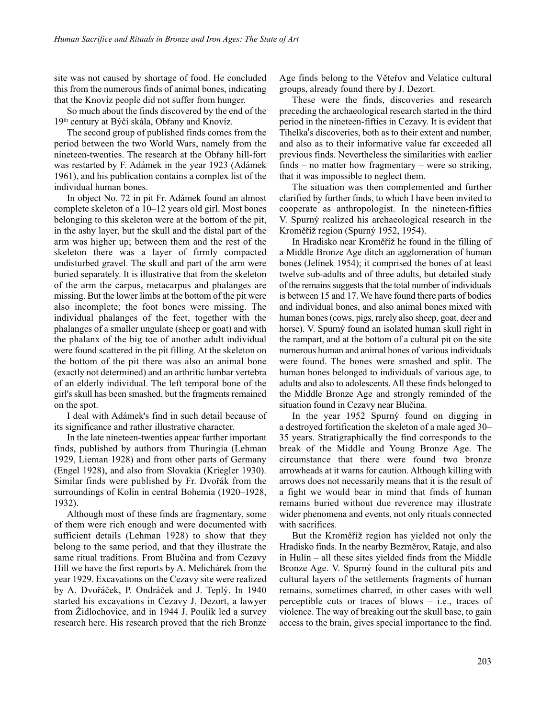site was not caused by shortage of food. He concluded this from the numerous finds of animal bones, indicating that the Knovíz people did not suffer from hunger.

So much about the finds discovered by the end of the 19th century at Býčí skála, Obřany and Knovíz.

The second group of published finds comes from the period between the two World Wars, namely from the nineteen-twenties. The research at the Obřany hill-fort was restarted by F. Adámek in the year 1923 (Adámek 1961), and his publication contains a complex list of the individual human bones.

In object No. 72 in pit Fr. Adámek found an almost complete skeleton of a 10–12 years old girl. Most bones belonging to this skeleton were at the bottom of the pit, in the ashy layer, but the skull and the distal part of the arm was higher up; between them and the rest of the skeleton there was a layer of firmly compacted undisturbed gravel. The skull and part of the arm were buried separately. It is illustrative that from the skeleton of the arm the carpus, metacarpus and phalanges are missing. But the lower limbs at the bottom of the pit were also incomplete; the foot bones were missing. The individual phalanges of the feet, together with the phalanges of a smaller ungulate (sheep or goat) and with the phalanx of the big toe of another adult individual were found scattered in the pit filling. At the skeleton on the bottom of the pit there was also an animal bone (exactly not determined) and an arthritic lumbar vertebra of an elderly individual. The left temporal bone of the girl's skull has been smashed, but the fragments remained on the spot.

I deal with Adámek's find in such detail because of its significance and rather illustrative character.

In the late nineteen-twenties appear further important finds, published by authors from Thuringia (Lehman 1929, Lieman 1928) and from other parts of Germany (Engel 1928), and also from Slovakia (Kriegler 1930). Similar finds were published by Fr. Dvořák from the surroundings of Kolín in central Bohemia (1920–1928, 1932).

Although most of these finds are fragmentary, some of them were rich enough and were documented with sufficient details (Lehman 1928) to show that they belong to the same period, and that they illustrate the same ritual traditions. From Blučina and from Cezavy Hill we have the first reports by A. Melichárek from the year 1929. Excavations on the Cezavy site were realized by A. Dvořáček, P. Ondráček and J. Teplý. In 1940 started his excavations in Cezavy J. Dezort, a lawyer from Židlochovice, and in 1944 J. Poulík led a survey research here. His research proved that the rich Bronze Age finds belong to the Věteřov and Velatice cultural groups, already found there by J. Dezort.

These were the finds, discoveries and research preceding the archaeological research started in the third period in the nineteen-fifties in Cezavy. It is evident that Tihelka's discoveries, both as to their extent and number, and also as to their informative value far exceeded all previous finds. Nevertheless the similarities with earlier finds – no matter how fragmentary – were so striking, that it was impossible to neglect them.

The situation was then complemented and further clarified by further finds, to which I have been invited to cooperate as anthropologist. In the nineteen-fifties V. Spurný realized his archaeological research in the Kroměříž region (Spurný 1952, 1954).

In Hradisko near Kroměříž he found in the filling of a Middle Bronze Age ditch an agglomeration of human bones (Jelínek 1954); it comprised the bones of at least twelve sub-adults and of three adults, but detailed study of the remains suggests that the total number of individuals is between 15 and 17. We have found there parts of bodies and individual bones, and also animal bones mixed with human bones (cows, pigs, rarely also sheep, goat, deer and horse). V. Spurný found an isolated human skull right in the rampart, and at the bottom of a cultural pit on the site numerous human and animal bones of various individuals were found. The bones were smashed and split. The human bones belonged to individuals of various age, to adults and also to adolescents. All these finds belonged to the Middle Bronze Age and strongly reminded of the situation found in Cezavy near Blučina.

In the year 1952 Spurný found on digging in a destroyed fortification the skeleton of a male aged 30– 35 years. Stratigraphically the find corresponds to the break of the Middle and Young Bronze Age. The circumstance that there were found two bronze arrowheads at it warns for caution. Although killing with arrows does not necessarily means that it is the result of a fight we would bear in mind that finds of human remains buried without due reverence may illustrate wider phenomena and events, not only rituals connected with sacrifices.

But the Kroměříž region has yielded not only the Hradisko finds. In the nearby Bezměrov, Rataje, and also in Hulín – all these sites yielded finds from the Middle Bronze Age. V. Spurný found in the cultural pits and cultural layers of the settlements fragments of human remains, sometimes charred, in other cases with well perceptible cuts or traces of blows  $-$  i.e., traces of violence. The way of breaking out the skull base, to gain access to the brain, gives special importance to the find.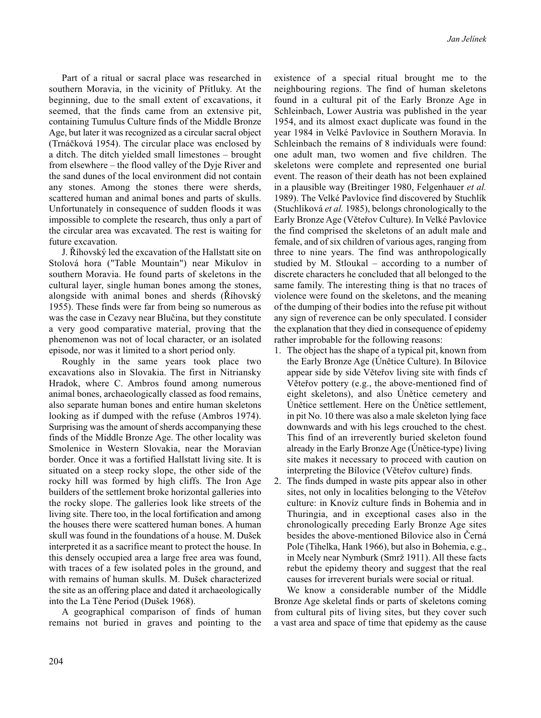Part of a ritual or sacral place was researched in southern Moravia, in the vicinity of Přítluky. At the beginning, due to the small extent of excavations, it seemed, that the finds came from an extensive pit, containing Tumulus Culture finds of the Middle Bronze Age, but later it was recognized as a circular sacral object (Trnáčková 1954). The circular place was enclosed by a ditch. The ditch yielded small limestones – brought from elsewhere – the flood valley of the Dyje River and the sand dunes of the local environment did not contain any stones. Among the stones there were sherds, scattered human and animal bones and parts of skulls. Unfortunately in consequence of sudden floods it was impossible to complete the research, thus only a part of the circular area was excavated. The rest is waiting for future excavation.

J. Říhovský led the excavation of the Hallstatt site on Stolová hora ("Table Mountain") near Mikulov in southern Moravia. He found parts of skeletons in the cultural layer, single human bones among the stones, alongside with animal bones and sherds (Říhovský 1955). These finds were far from being so numerous as was the case in Cezavy near Blučina, but they constitute a very good comparative material, proving that the phenomenon was not of local character, or an isolated episode, nor was it limited to a short period only.

Roughly in the same years took place two excavations also in Slovakia. The first in Nitriansky Hradok, where C. Ambros found among numerous animal bones, archaeologically classed as food remains, also separate human bones and entire human skeletons looking as if dumped with the refuse (Ambros 1974). Surprising was the amount of sherds accompanying these finds of the Middle Bronze Age. The other locality was Smolenice in Western Slovakia, near the Moravian border. Once it was a fortified Hallstatt living site. It is situated on a steep rocky slope, the other side of the rocky hill was formed by high cliffs. The Iron Age builders of the settlement broke horizontal galleries into the rocky slope. The galleries look like streets of the living site. There too, in the local fortification and among the houses there were scattered human bones. A human skull was found in the foundations of a house. M. Dušek interpreted it as a sacrifice meant to protect the house. In this densely occupied area a large free area was found, with traces of a few isolated poles in the ground, and with remains of human skulls. M. Dušek characterized the site as an offering place and dated it archaeologically into the La Tène Period (Dušek 1968).

A geographical comparison of finds of human remains not buried in graves and pointing to the existence of a special ritual brought me to the neighbouring regions. The find of human skeletons found in a cultural pit of the Early Bronze Age in Schleinbach, Lower Austria was published in the year 1954, and its almost exact duplicate was found in the year 1984 in Velké Pavlovice in Southern Moravia. In Schleinbach the remains of 8 individuals were found: one adult man, two women and five children. The skeletons were complete and represented one burial event. The reason of their death has not been explained in a plausible way (Breitinger 1980, Felgenhauer *et al.* 1989). The Velké Pavlovice find discovered by Stuchlík (Stuchlíková *et al.* 1985), belongs chronologically to the Early Bronze Age (Věteřov Culture). In Velké Pavlovice the find comprised the skeletons of an adult male and female, and of six children of various ages, ranging from three to nine years. The find was anthropologically studied by M. Stloukal – according to a number of discrete characters he concluded that all belonged to the same family. The interesting thing is that no traces of violence were found on the skeletons, and the meaning of the dumping of their bodies into the refuse pit without any sign of reverence can be only speculated. I consider the explanation that they died in consequence of epidemy rather improbable for the following reasons:

- 1. The object has the shape of a typical pit, known from the Early Bronze Age (Únětice Culture). In Bílovice appear side by side Věteřov living site with finds cf Věteřov pottery (e.g., the above-mentioned find of eight skeletons), and also Únětice cemetery and Únětice settlement. Here on the Únětice settlement, in pit No. 10 there was also a male skeleton lying face downwards and with his legs crouched to the chest. This find of an irreverently buried skeleton found already in the Early Bronze Age (Únětice-type) living site makes it necessary to proceed with caution on interpreting the Bílovice (Věteřov culture) finds.
- 2. The finds dumped in waste pits appear also in other sites, not only in localities belonging to the Věteřov culture: in Knovíz culture finds in Bohemia and in Thuringia, and in exceptional cases also in the chronologically preceding Early Bronze Age sites besides the above-mentioned Bílovice also in Černá Pole (Tihelka, Hank 1966), but also in Bohemia, e.g., in Mcely near Nymburk (Smrž 1911). All these facts rebut the epidemy theory and suggest that the real causes for irreverent burials were social or ritual.

We know a considerable number of the Middle Bronze Age skeletal finds or parts of skeletons coming from cultural pits of living sites, but they cover such a vast area and space of time that epidemy as the cause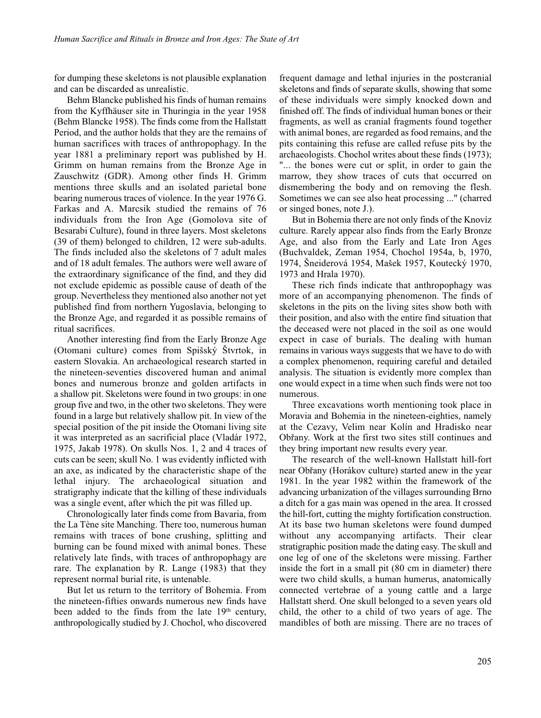for dumping these skeletons is not plausible explanation and can be discarded as unrealistic.

Behm Blancke published his finds of human remains from the Kyffhäuser site in Thuringia in the year 1958 (Behm Blancke 1958). The finds come from the Hallstatt Period, and the author holds that they are the remains of human sacrifices with traces of anthropophagy. In the year 1881 a preliminary report was published by H. Grimm on human remains from the Bronze Age in Zauschwitz (GDR). Among other finds H. Grimm mentions three skulls and an isolated parietal bone bearing numerous traces of violence. In the year 1976 G. Farkas and A. Marcsik studied the remains of 76 individuals from the Iron Age (Gomolova site of Besarabi Culture), found in three layers. Most skeletons (39 of them) belonged to children, 12 were sub-adults. The finds included also the skeletons of 7 adult males and of 18 adult females. The authors were well aware of the extraordinary significance of the find, and they did not exclude epidemic as possible cause of death of the group. Nevertheless they mentioned also another not yet published find from northern Yugoslavia, belonging to the Bronze Age, and regarded it as possible remains of ritual sacrifices.

Another interesting find from the Early Bronze Age (Otomani culture) comes from Spišský Štvrtok, in eastern Slovakia. An archaeological research started in the nineteen-seventies discovered human and animal bones and numerous bronze and golden artifacts in a shallow pit. Skeletons were found in two groups: in one group five and two, in the other two skeletons. They were found in a large but relatively shallow pit. In view of the special position of the pit inside the Otomani living site it was interpreted as an sacrificial place (Vladár 1972, 1975, Jakab 1978). On skulls Nos. 1, 2 and 4 traces of cuts can be seen; skull No. 1 was evidently inflicted with an axe, as indicated by the characteristic shape of the lethal injury. The archaeological situation and stratigraphy indicate that the killing of these individuals was a single event, after which the pit was filled up.

Chronologically later finds come from Bavaria, from the La Tène site Manching. There too, numerous human remains with traces of bone crushing, splitting and burning can be found mixed with animal bones. These relatively late finds, with traces of anthropophagy are rare. The explanation by R. Lange (1983) that they represent normal burial rite, is untenable.

But let us return to the territory of Bohemia. From the nineteen-fifties onwards numerous new finds have been added to the finds from the late  $19<sup>th</sup>$  century, anthropologically studied by J. Chochol, who discovered frequent damage and lethal injuries in the postcranial skeletons and finds of separate skulls, showing that some of these individuals were simply knocked down and finished off. The finds of individual human bones or their fragments, as well as cranial fragments found together with animal bones, are regarded as food remains, and the pits containing this refuse are called refuse pits by the archaeologists. Chochol writes about these finds (1973); "... the bones were cut or split, in order to gain the marrow, they show traces of cuts that occurred on dismembering the body and on removing the flesh. Sometimes we can see also heat processing ..." (charred or singed bones, note J.).

But in Bohemia there are not only finds of the Knovíz culture. Rarely appear also finds from the Early Bronze Age, and also from the Early and Late Iron Ages (Buchvaldek, Zeman 1954, Chochol 1954a, b, 1970, 1974, Šneiderová 1954, Mašek 1957, Koutecký 1970, 1973 and Hrala 1970).

These rich finds indicate that anthropophagy was more of an accompanying phenomenon. The finds of skeletons in the pits on the living sites show both with their position, and also with the entire find situation that the deceased were not placed in the soil as one would expect in case of burials. The dealing with human remains in various ways suggests that we have to do with a complex phenomenon, requiring careful and detailed analysis. The situation is evidently more complex than one would expect in a time when such finds were not too numerous.

Three excavations worth mentioning took place in Moravia and Bohemia in the nineteen-eighties, namely at the Cezavy, Velim near Kolín and Hradisko near Obřany. Work at the first two sites still continues and they bring important new results every year.

The research of the well-known Hallstatt hill-fort near Obřany (Horákov culture) started anew in the year 1981. In the year 1982 within the framework of the advancing urbanization of the villages surrounding Brno a ditch for a gas main was opened in the area. It crossed the hill-fort, cutting the mighty fortification construction. At its base two human skeletons were found dumped without any accompanying artifacts. Their clear stratigraphic position made the dating easy. The skull and one leg of one of the skeletons were missing. Farther inside the fort in a small pit (80 cm in diameter) there were two child skulls, a human humerus, anatomically connected vertebrae of a young cattle and a large Hallstatt sherd. One skull belonged to a seven years old child, the other to a child of two years of age. The mandibles of both are missing. There are no traces of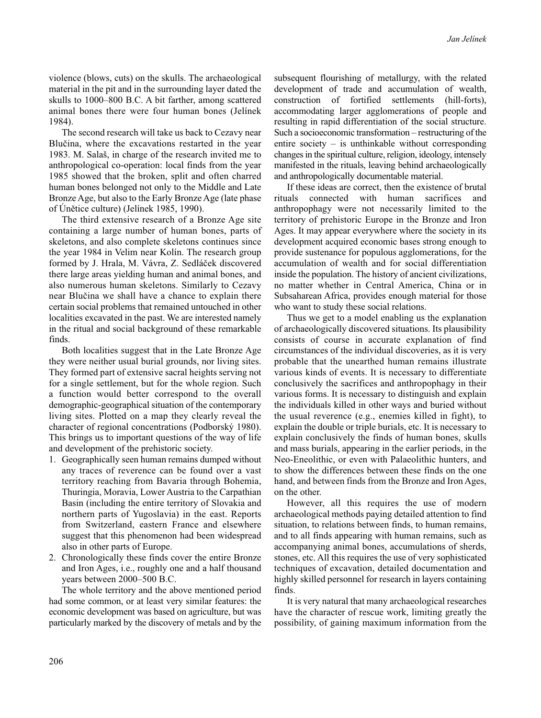violence (blows, cuts) on the skulls. The archaeological material in the pit and in the surrounding layer dated the skulls to 1000–800 B.C. A bit farther, among scattered animal bones there were four human bones (Jelínek 1984).

The second research will take us back to Cezavy near Blučina, where the excavations restarted in the year 1983. M. Salaš, in charge of the research invited me to anthropological co-operation: local finds from the year 1985 showed that the broken, split and often charred human bones belonged not only to the Middle and Late Bronze Age, but also to the Early Bronze Age (late phase of Únětice culture) (Jelínek 1985, 1990).

The third extensive research of a Bronze Age site containing a large number of human bones, parts of skeletons, and also complete skeletons continues since the year 1984 in Velim near Kolín. The research group formed by J. Hrala, M. Vávra, Z. Sedláček discovered there large areas yielding human and animal bones, and also numerous human skeletons. Similarly to Cezavy near Blučina we shall have a chance to explain there certain social problems that remained untouched in other localities excavated in the past. We are interested namely in the ritual and social background of these remarkable finds.

Both localities suggest that in the Late Bronze Age they were neither usual burial grounds, nor living sites. They formed part of extensive sacral heights serving not for a single settlement, but for the whole region. Such a function would better correspond to the overall demographic-geographical situation of the contemporary living sites. Plotted on a map they clearly reveal the character of regional concentrations (Podborský 1980). This brings us to important questions of the way of life and development of the prehistoric society.

- 1. Geographically seen human remains dumped without any traces of reverence can be found over a vast territory reaching from Bavaria through Bohemia, Thuringia, Moravia, Lower Austria to the Carpathian Basin (including the entire territory of Slovakia and northern parts of Yugoslavia) in the east. Reports from Switzerland, eastern France and elsewhere suggest that this phenomenon had been widespread also in other parts of Europe.
- 2. Chronologically these finds cover the entire Bronze and Iron Ages, i.e., roughly one and a half thousand years between 2000–500 B.C.

The whole territory and the above mentioned period had some common, or at least very similar features: the economic development was based on agriculture, but was particularly marked by the discovery of metals and by the subsequent flourishing of metallurgy, with the related development of trade and accumulation of wealth, construction of fortified settlements (hill-forts), accommodating larger agglomerations of people and resulting in rapid differentiation of the social structure. Such a socioeconomic transformation – restructuring of the entire society – is unthinkable without corresponding changes in the spiritual culture, religion, ideology, intensely manifested in the rituals, leaving behind archaeologically and anthropologically documentable material.

If these ideas are correct, then the existence of brutal rituals connected with human sacrifices and anthropophagy were not necessarily limited to the territory of prehistoric Europe in the Bronze and Iron Ages. It may appear everywhere where the society in its development acquired economic bases strong enough to provide sustenance for populous agglomerations, for the accumulation of wealth and for social differentiation inside the population. The history of ancient civilizations, no matter whether in Central America, China or in Subsaharean Africa, provides enough material for those who want to study these social relations.

Thus we get to a model enabling us the explanation of archaeologically discovered situations. Its plausibility consists of course in accurate explanation of find circumstances of the individual discoveries, as it is very probable that the unearthed human remains illustrate various kinds of events. It is necessary to differentiate conclusively the sacrifices and anthropophagy in their various forms. It is necessary to distinguish and explain the individuals killed in other ways and buried without the usual reverence (e.g., enemies killed in fight), to explain the double or triple burials, etc. It is necessary to explain conclusively the finds of human bones, skulls and mass burials, appearing in the earlier periods, in the Neo-Eneolithic, or even with Palaeolithic hunters, and to show the differences between these finds on the one hand, and between finds from the Bronze and Iron Ages, on the other.

However, all this requires the use of modern archaeological methods paying detailed attention to find situation, to relations between finds, to human remains, and to all finds appearing with human remains, such as accompanying animal bones, accumulations of sherds, stones, etc. All this requires the use of very sophisticated techniques of excavation, detailed documentation and highly skilled personnel for research in layers containing finds.

It is very natural that many archaeological researches have the character of rescue work, limiting greatly the possibility, of gaining maximum information from the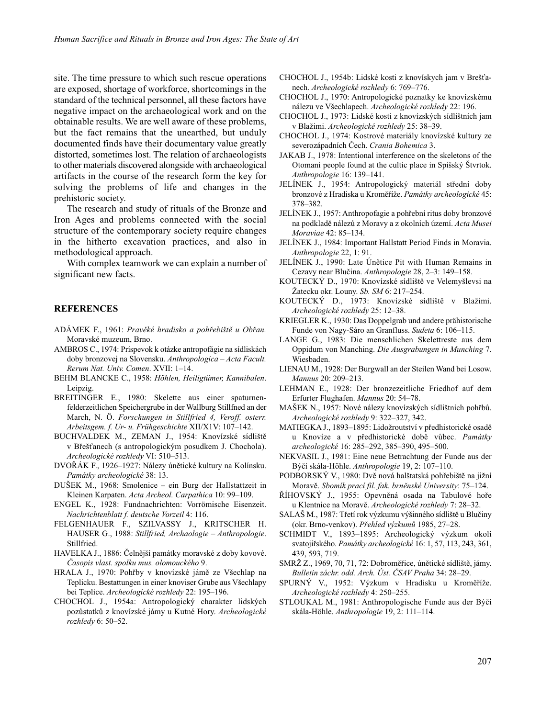site. The time pressure to which such rescue operations are exposed, shortage of workforce, shortcomings in the standard of the technical personnel, all these factors have negative impact on the archaeological work and on the obtainable results. We are well aware of these problems, but the fact remains that the unearthed, but unduly documented finds have their documentary value greatly distorted, sometimes lost. The relation of archaeologists to other materials discovered alongside with archaeological artifacts in the course of the research form the key for solving the problems of life and changes in the prehistoric society.

The research and study of rituals of the Bronze and Iron Ages and problems connected with the social structure of the contemporary society require changes in the hitherto excavation practices, and also in methodological approach.

With complex teamwork we can explain a number of significant new facts.

## **REFERENCES**

- ADÁMEK F., 1961: *Pravěké hradisko a pohřebiště u Obřan.* Moravské muzeum, Brno.
- AMBROS C., 1974: Príspevok k otázke antropofágie na sídliskách doby bronzovej na Slovensku. *Anthropologica – Acta Facult. Rerum Nat. Univ. Comen*. XVII: 1–14.
- BEHM BLANCKE C., 1958: *Höhlen, Heiligtümer, Kannibalen*. Leipzig.
- BREITINGER E., 1980: Skelette aus einer spaturnenfelderzeitlichen Speichergrube in der Wallburg Stillfned an der March, N. Ö. *Forschungen in Stillfried 4, Veroff. osterr. Arbeitsgem. f. Ur- u. Frühgeschichte* XII/X1V: 107–142.
- BUCHVALDEK M., ZEMAN J., 1954: Knovízské sídliště v Břešťanech (s antropologickým posudkem J. Chochola). *Archeologické rozhledy* VI: 510–513.
- DVOŘÁK F., 1926–1927: Nálezy únětické kultury na Kolínsku. *Památky archeologické* 38: 13.
- DUŠEK M., 1968: Smolenice ein Burg der Hallstattzeit in Kleinen Karpaten. *Acta Archeol. Carpathica* 10: 99–109.
- ENGEL K., 1928: Fundnachrichten: Vorrömische Eisenzeit. *Nachrichtenblatt f. deutsche Vorzeil* 4: 116.
- FELGENHAUER F., SZILVASSY J., KRITSCHER H. HAUSER G., 1988: *Stillfried, Archaologie – Anthropologie*. Stillfried.
- HAVELKA J., 1886: Čelnější památky moravské z doby kovové. *Časopis vlast. spolku mus. olomouckého* 9.
- HRALA J., 1970: Pohřby v knovízské jámě ze Všechlap na Teplicku. Bestattungen in einer knoviser Grube aus Všechlapy bei Teplice. *Archeologické rozhledy* 22: 195–196.
- CHOCHOL J., 1954a: Antropologický charakter lidských pozůstatků z knovízské jámy u Kutné Hory. *Archeologické rozhledy* 6: 50–52.
- CHOCHOL J., 1954b: Lidské kosti z knovískych jam v Brešťanech. *Archeologické rozhledy* 6: 769–776.
- CHOCHOL J., 1970: Antropologické poznatky ke knovízskému nálezu ve Všechlapech. *Archeologické rozhledy* 22: 196.
- CHOCHOL J., 1973: Lidské kosti z knovízských sídlištních jam v Blažimi. *Archeologické rozhledy* 25: 38–39.
- CHOCHOL J., 1974: Kostrové materiály knovízské kultury ze severozápadních Čech. *Crania Bohemica* 3.
- JAKAB J., 1978: Intentional interference on the skeletons of the Otomani people found at the cultic place in Spišský Štvrtok. *Anthropologie* 16: 139–141.
- JELÍNEK J., 1954: Antropologický materiál střední doby bronzové z Hradiska u Kroměříže. *Památky archeologické* 45: 378–382.
- JELÍNEK J., 1957: Anthropofagie a pohřební ritus doby bronzové na podkladě nálezů z Moravy a z okolních území. *Acta Musei Moraviae* 42: 85–134.
- JELÍNEK J., 1984: Important Hallstatt Period Finds in Moravia. *Anthropologie* 22, 1: 91.
- JELÍNEK J., 1990: Late Únětice Pit with Human Remains in Cezavy near Blučina. *Anthropologie* 28, 2–3: 149–158.
- KOUTECKÝ D., 1970: Knovízské sídliště ve Velemyšlevsi na Žatecku okr. Louny. *Sb. SM* 6: 217–254.
- KOUTECKÝ D., 1973: Knovízské sídliště v Blažimi. *Archeologické rozhledy* 25: 12–38.
- KRIEGLER K., 1930: Das Doppelgrab und andere prähistorische Funde von Nagy-Sáro an Granfluss. *Sudeta* 6: 106–115.
- LANGE G., 1983: Die menschlichen Skelettreste aus dem Oppidum von Manching. *Die Ausgrabungen in Munching* 7. Wiesbaden.
- LIENAU M., 1928: Der Burgwall an der Steilen Wand bei Losow. *Mannus* 20: 209–213.
- LEHMAN E., 1928: Der bronzezeitliche Friedhof auf dem Erfurter Flughafen. *Mannus* 20: 54–78.
- MAŠEK N., 1957: Nové nálezy knovízských sídlištních pohřbů. *Archeologické rozhledy* 9: 322–327, 342.
- MATIEGKA J., 1893–1895: Lidožroutství v předhistorické osadě u Knovíze a v předhistorické době vůbec. *Památky archeologické* 16: 285–292, 385–390, 495–500.
- NEKVASIL J., 1981: Eine neue Betrachtung der Funde aus der Býčí skála-Höhle. *Anthropologie* 19, 2: 107–110.
- PODBORSKÝ V., 1980: Dvě nová halštatská pohřebiště na jižní Moravě. *Sbomík prací fil. fak. brněnské University*: 75–124.
- ŘÍHOVSKÝ J., 1955: Opevněná osada na Tabulové hoře u Klentnice na Moravě. *Archeologické rozhledy* 7: 28–32.
- SALAŠ M., 1987: Třetí rok výzkumu výšinného sídliště u Blučiny (okr. Brno-venkov). *Přehled výzkumů* 1985, 27–28.
- SCHMIDT V., 1893–1895: Archeologický výzkum okolí svatojiřského. *Památky archeologické* 16: 1, 57, 113, 243, 361, 439, 593, 719.
- SMRŽ Z., 1969, 70, 71, 72: Dobroměřice, únětické sídliště, jámy. *Bulletin záchr. odd. Arch. Úst. ČSAV Praha* 34: 28–29.
- SPURNÝ V., 1952: Výzkum v Hradisku u Kroměříže. *Archeologické rozhledy* 4: 250–255.
- STLOUKAL M., 1981: Anthropologische Funde aus der Býčí skála-Höhle. *Anthropologie* 19, 2: 111–114.